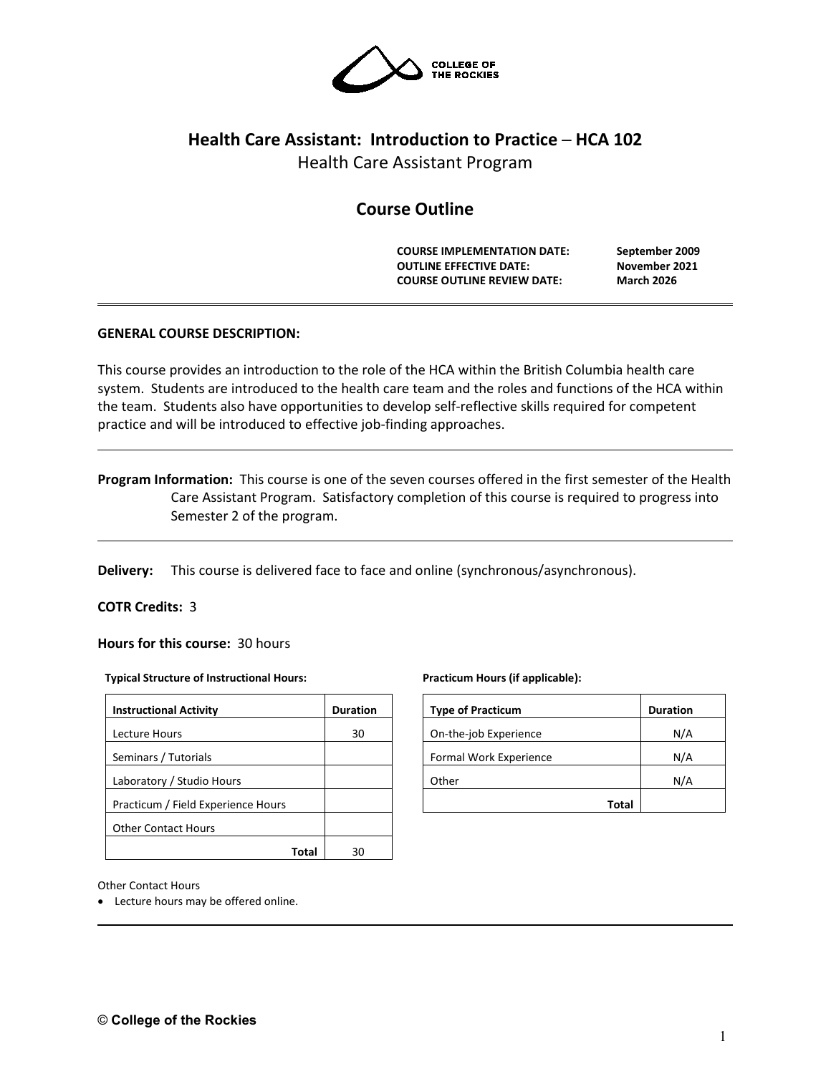

# **Health Care Assistant: Introduction to Practice ─ HCA 102**

Health Care Assistant Program

## **Course Outline**

**COURSE IMPLEMENTATION DATE: September 2009 OUTLINE EFFECTIVE DATE: November 2021 COURSE OUTLINE REVIEW DATE: March 2026**

## **GENERAL COURSE DESCRIPTION:**

This course provides an introduction to the role of the HCA within the British Columbia health care system. Students are introduced to the health care team and the roles and functions of the HCA within the team. Students also have opportunities to develop self-reflective skills required for competent practice and will be introduced to effective job-finding approaches.

**Program Information:** This course is one of the seven courses offered in the first semester of the Health Care Assistant Program. Satisfactory completion of this course is required to progress into Semester 2 of the program.

**Delivery:** This course is delivered face to face and online (synchronous/asynchronous).

## **COTR Credits:** 3

**Hours for this course:** 30 hours

#### **Typical Structure of Instructional Hours:**

| <b>Instructional Activity</b>      | <b>Duration</b> |
|------------------------------------|-----------------|
| Lecture Hours                      | 30              |
| Seminars / Tutorials               |                 |
| Laboratory / Studio Hours          |                 |
| Practicum / Field Experience Hours |                 |
| <b>Other Contact Hours</b>         |                 |
|                                    |                 |

#### **Practicum Hours (if applicable):**

| <b>Type of Practicum</b> | <b>Duration</b> |
|--------------------------|-----------------|
| On-the-job Experience    | N/A             |
| Formal Work Experience   | N/A             |
| Other                    | N/A             |
| Total                    |                 |

Other Contact Hours

• Lecture hours may be offered online.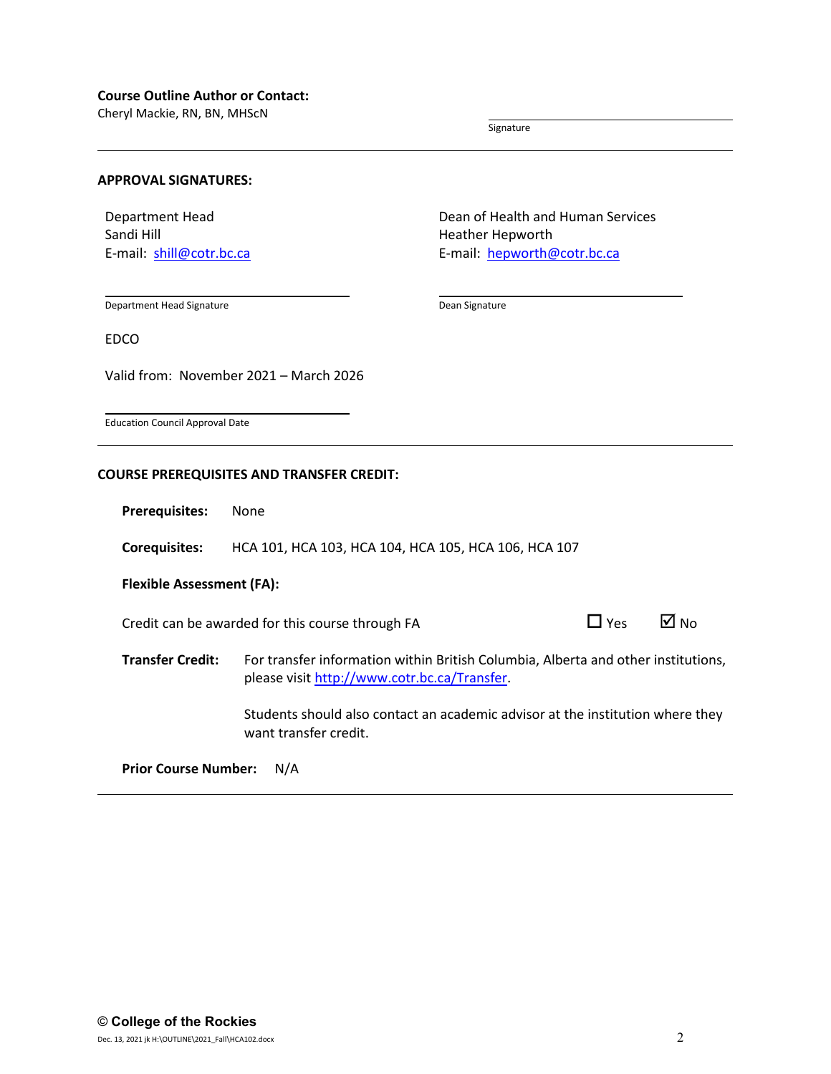#### **Course Outline Author or Contact:**

Cheryl Mackie, RN, BN, MHScN

Signature

## **APPROVAL SIGNATURES:**

Department Head Sandi Hill E-mail: [shill@cotr.bc.ca](mailto:shill@cotr.bc.ca) Dean of Health and Human Services Heather Hepworth E-mail: [hepworth@cotr.bc.ca](mailto:hepworth@cotr.bc.ca)

Department Head Signature

Dean Signature

EDCO

Valid from: November 2021 – March 2026

Education Council Approval Date

#### **COURSE PREREQUISITES AND TRANSFER CREDIT:**

**Prerequisites:** None

**Corequisites:** HCA 101, HCA 103, HCA 104, HCA 105, HCA 106, HCA 107

#### **Flexible Assessment (FA):**

Credit can be awarded for this course through FA  $\Box$  Yes  $\Box$  No

**Transfer Credit:** For transfer information within British Columbia, Alberta and other institutions, please visit [http://www.cotr.bc.ca/Transfer.](http://www.cotr.bc.ca/Transfer)

> Students should also contact an academic advisor at the institution where they want transfer credit.

**Prior Course Number:** N/A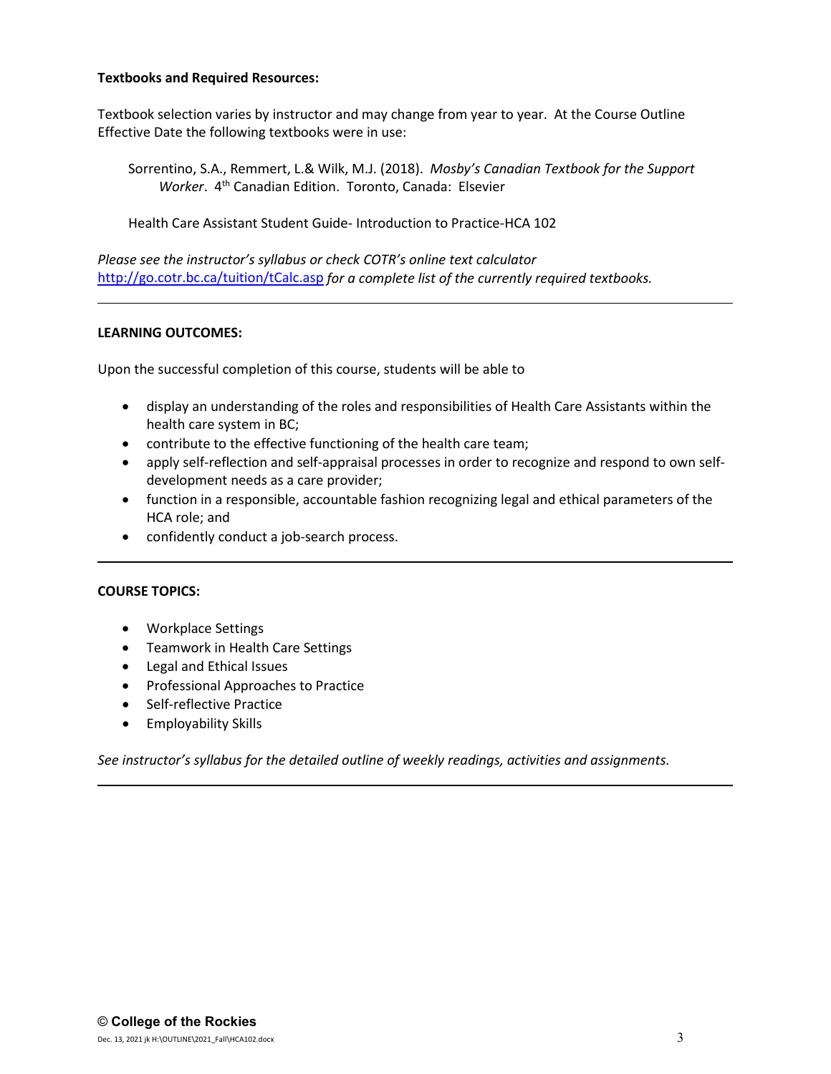## **Textbooks and Required Resources:**

Textbook selection varies by instructor and may change from year to year. At the Course Outline Effective Date the following textbooks were in use:

Sorrentino, S.A., Remmert, L.& Wilk, M.J. (2018). *Mosby's Canadian Textbook for the Support Worker*. 4th Canadian Edition. Toronto, Canada: Elsevier

Health Care Assistant Student Guide- Introduction to Practice-HCA 102

*Please see the instructor's syllabus or check COTR's online text calculator*  <http://go.cotr.bc.ca/tuition/tCalc.asp> *for a complete list of the currently required textbooks.*

## **LEARNING OUTCOMES:**

Upon the successful completion of this course, students will be able to

- display an understanding of the roles and responsibilities of Health Care Assistants within the health care system in BC;
- contribute to the effective functioning of the health care team;
- apply self-reflection and self-appraisal processes in order to recognize and respond to own selfdevelopment needs as a care provider;
- function in a responsible, accountable fashion recognizing legal and ethical parameters of the HCA role; and
- confidently conduct a job-search process.

## **COURSE TOPICS:**

- Workplace Settings
- Teamwork in Health Care Settings
- Legal and Ethical Issues
- Professional Approaches to Practice
- Self-reflective Practice
- Employability Skills

*See instructor's syllabus for the detailed outline of weekly readings, activities and assignments.*